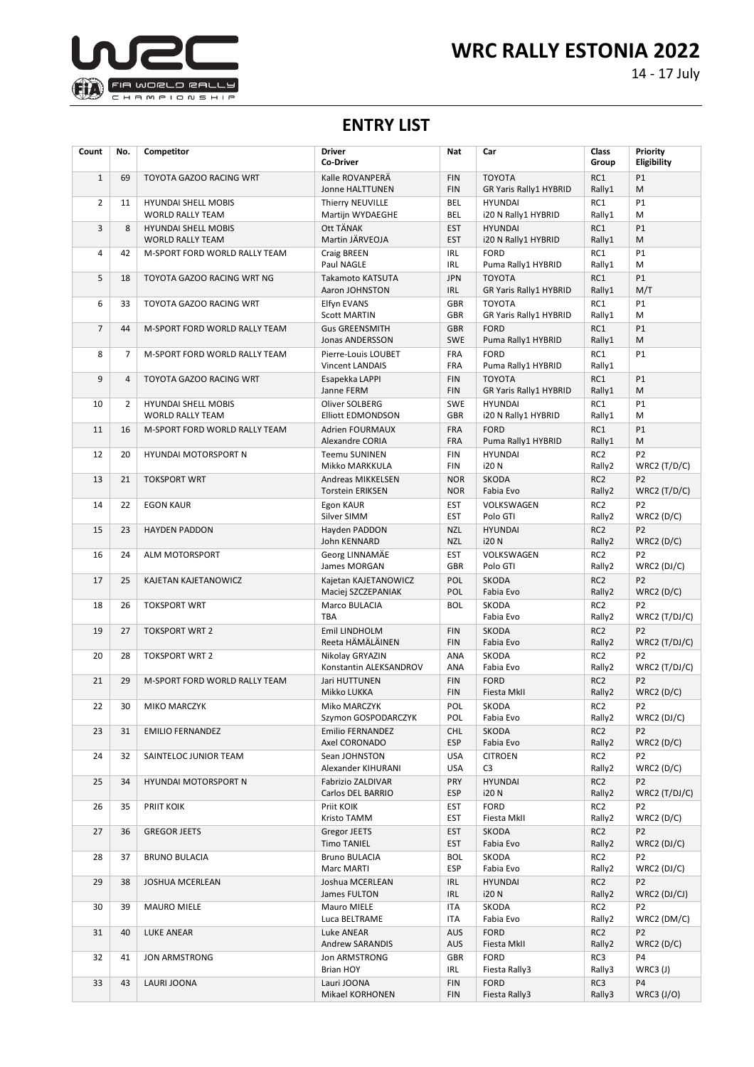

14 - 17 July

## **ENTRY LIST**

| Count          | No.            | Competitor                                            | <b>Driver</b><br><b>Co-Driver</b>                        | <b>Nat</b>                      | Car                                                             | <b>Class</b><br>Group                 | Priority<br>Eligibility           |
|----------------|----------------|-------------------------------------------------------|----------------------------------------------------------|---------------------------------|-----------------------------------------------------------------|---------------------------------------|-----------------------------------|
| $\mathbf{1}$   | 69             | TOYOTA GAZOO RACING WRT                               | Kalle ROVANPERÄ<br>Jonne HALTTUNEN                       | <b>FIN</b><br><b>FIN</b>        | <b>TOYOTA</b><br>GR Yaris Rally1 HYBRID                         | RC1<br>Rally1                         | P1<br>M                           |
| $\overline{2}$ | 11             | <b>HYUNDAI SHELL MOBIS</b><br><b>WORLD RALLY TEAM</b> | Thierry NEUVILLE<br>Martijn WYDAEGHE                     | <b>BEL</b><br><b>BEL</b>        | <b>HYUNDAI</b><br>i20 N Rally1 HYBRID                           | RC1<br>Rally1                         | <b>P1</b><br>M                    |
| 3              | 8              | <b>HYUNDAI SHELL MOBIS</b><br><b>WORLD RALLY TEAM</b> | Ott TÄNAK<br>Martin JÄRVEOJA                             | <b>EST</b><br><b>EST</b>        | <b>HYUNDAI</b><br>i20 N Rally1 HYBRID                           | RC1<br>Rally1                         | P1<br>M                           |
| 4              | 42             | M-SPORT FORD WORLD RALLY TEAM                         | Craig BREEN<br>Paul NAGLE                                | <b>IRL</b><br><b>IRL</b>        | <b>FORD</b><br>Puma Rally1 HYBRID                               | RC1<br>Rally1                         | P1<br>M                           |
| 5              | 18             | TOYOTA GAZOO RACING WRT NG                            | Takamoto KATSUTA<br>Aaron JOHNSTON                       | <b>JPN</b><br><b>IRL</b>        | <b>TOYOTA</b>                                                   | RC1<br>Rally1                         | P1<br>M/T                         |
| 6              | 33             | TOYOTA GAZOO RACING WRT                               | Elfyn EVANS                                              | <b>GBR</b><br>GBR               | GR Yaris Rally1 HYBRID<br><b>TOYOTA</b>                         | RC1                                   | <b>P1</b><br>M                    |
| $\overline{7}$ | 44             | M-SPORT FORD WORLD RALLY TEAM                         | <b>Scott MARTIN</b><br><b>Gus GREENSMITH</b>             | <b>GBR</b><br><b>SWE</b>        | GR Yaris Rally1 HYBRID<br><b>FORD</b>                           | Rally1<br>RC1                         | P1<br>M                           |
| 8              | $\overline{7}$ | M-SPORT FORD WORLD RALLY TEAM                         | Jonas ANDERSSON<br>Pierre-Louis LOUBET                   | FRA                             | Puma Rally1 HYBRID<br><b>FORD</b>                               | Rally1<br>RC1                         | P1                                |
| 9              | $\overline{4}$ | TOYOTA GAZOO RACING WRT                               | <b>Vincent LANDAIS</b><br>Esapekka LAPPI                 | FRA<br><b>FIN</b><br><b>FIN</b> | Puma Rally1 HYBRID<br><b>TOYOTA</b>                             | Rally1<br>RC1                         | P1                                |
| 10             | 2              | <b>HYUNDAI SHELL MOBIS</b><br><b>WORLD RALLY TEAM</b> | Janne FERM<br>Oliver SOLBERG<br><b>Elliott EDMONDSON</b> | SWE<br>GBR                      | GR Yaris Rally1 HYBRID<br><b>HYUNDAI</b><br>i20 N Rally1 HYBRID | Rally1<br>RC1<br>Rally1               | M<br><b>P1</b><br>M               |
| 11             | 16             | M-SPORT FORD WORLD RALLY TEAM                         | Adrien FOURMAUX<br>Alexandre CORIA                       | FRA<br><b>FRA</b>               | <b>FORD</b><br>Puma Rally1 HYBRID                               | RC1<br>Rally1                         | P1<br>M                           |
| 12             | 20             | <b>HYUNDAI MOTORSPORT N</b>                           | <b>Teemu SUNINEN</b><br>Mikko MARKKULA                   | <b>FIN</b><br><b>FIN</b>        | <b>HYUNDAI</b><br>i20 N                                         | RC <sub>2</sub><br>Rally2             | P <sub>2</sub><br>WRC2 $(T/D/C)$  |
| 13             | 21             | <b>TOKSPORT WRT</b>                                   | <b>Andreas MIKKELSEN</b><br><b>Torstein ERIKSEN</b>      | <b>NOR</b><br><b>NOR</b>        | <b>SKODA</b><br>Fabia Evo                                       | RC <sub>2</sub><br>Rally2             | P <sub>2</sub><br>WRC2 $(T/D/C)$  |
| 14             | 22             | <b>EGON KAUR</b>                                      | Egon KAUR<br>Silver SIMM                                 | <b>EST</b><br><b>EST</b>        | VOLKSWAGEN<br>Polo GTI                                          | RC <sub>2</sub><br>Rally2             | P <sub>2</sub><br>WRC2(D/C)       |
| 15             | 23             | <b>HAYDEN PADDON</b>                                  | Hayden PADDON<br>John KENNARD                            | <b>NZL</b><br><b>NZL</b>        | <b>HYUNDAI</b><br><b>i20N</b>                                   | RC <sub>2</sub><br>Rally2             | P <sub>2</sub><br>WRC2 $(D/C)$    |
| 16             | 24             | ALM MOTORSPORT                                        | Georg LINNAMÄE<br>James MORGAN                           | <b>EST</b><br><b>GBR</b>        | VOLKSWAGEN<br>Polo GTI                                          | RC <sub>2</sub><br>Rally2             | P <sub>2</sub><br>$WRC2$ (DJ/C)   |
| 17             | 25             | KAJETAN KAJETANOWICZ                                  | Kajetan KAJETANOWICZ<br>Maciej SZCZEPANIAK               | POL<br>POL                      | <b>SKODA</b><br>Fabia Evo                                       | RC <sub>2</sub><br>Rally2             | P <sub>2</sub><br>WRC2(D/C)       |
| 18             | 26             | <b>TOKSPORT WRT</b>                                   | Marco BULACIA<br><b>TBA</b>                              | <b>BOL</b>                      | SKODA<br>Fabia Evo                                              | RC <sub>2</sub><br>Rally2             | P <sub>2</sub><br>WRC2 $(T/DJ/C)$ |
| 19             | 27             | <b>TOKSPORT WRT 2</b>                                 | <b>Emil LINDHOLM</b><br>Reeta HÄMÄLÄINEN                 | <b>FIN</b><br><b>FIN</b>        | <b>SKODA</b><br>Fabia Evo                                       | RC <sub>2</sub><br>Rally2             | P <sub>2</sub><br>WRC2 $(T/DJ/C)$ |
| 20             | 28             | <b>TOKSPORT WRT 2</b>                                 | Nikolay GRYAZIN<br>Konstantin ALEKSANDROV                | ANA<br>ANA                      | <b>SKODA</b><br>Fabia Evo                                       | RC <sub>2</sub><br>Rally2             | P <sub>2</sub><br>WRC2 $(T/DJ/C)$ |
| 21             | 29             | M-SPORT FORD WORLD RALLY TEAM                         | Jari HUTTUNEN<br>Mikko LUKKA                             | <b>FIN</b><br><b>FIN</b>        | <b>FORD</b><br>Fiesta MkII                                      | RC <sub>2</sub><br>Rally2             | P <sub>2</sub><br>WRC2 $(D/C)$    |
| 22             | 30             | MIKO MARCZYK                                          | Miko MARCZYK<br>Szymon GOSPODARCZYK                      | POL<br><b>POL</b>               | <b>SKODA</b><br>Fabia Evo                                       | RC <sub>2</sub><br>Rally <sub>2</sub> | P <sub>2</sub><br>WRC2 (DJ/C)     |
| 23             | 31             | <b>EMILIO FERNANDEZ</b>                               | Emilio FERNANDEZ<br>Axel CORONADO                        | <b>CHL</b><br><b>ESP</b>        | SKODA<br>Fabia Evo                                              | RC <sub>2</sub><br>Rally2             | P <sub>2</sub><br>WRC2(D/C)       |
| 24             | 32             | SAINTELOC JUNIOR TEAM                                 | Sean JOHNSTON<br>Alexander KIHURANI                      | <b>USA</b><br><b>USA</b>        | <b>CITROEN</b><br>C <sub>3</sub>                                | RC <sub>2</sub><br>Rally2             | P <sub>2</sub><br>WRC2(D/C)       |
| 25             | 34             | HYUNDAI MOTORSPORT N                                  | Fabrizio ZALDIVAR<br>Carlos DEL BARRIO                   | <b>PRY</b><br><b>ESP</b>        | <b>HYUNDAI</b><br><b>i20N</b>                                   | RC <sub>2</sub><br>Rally2             | P <sub>2</sub><br>WRC2 $(T/DJ/C)$ |
| 26             | 35             | PRIIT KOIK                                            | Priit KOIK<br>Kristo TAMM                                | EST<br><b>EST</b>               | <b>FORD</b><br>Fiesta MkII                                      | RC2<br>Rally2                         | P <sub>2</sub><br>WRC2(D/C)       |
| 27             | 36             | <b>GREGOR JEETS</b>                                   | <b>Gregor JEETS</b><br><b>Timo TANIEL</b>                | <b>EST</b><br>EST               | <b>SKODA</b><br>Fabia Evo                                       | RC <sub>2</sub><br>Rally2             | P <sub>2</sub><br>WRC2(DJ/C)      |
| 28             | 37             | <b>BRUNO BULACIA</b>                                  | <b>Bruno BULACIA</b><br>Marc MARTI                       | <b>BOL</b><br><b>ESP</b>        | SKODA<br>Fabia Evo                                              | RC2<br>Rally2                         | P <sub>2</sub><br>WRC2(DJ/C)      |
| 29             | 38             | JOSHUA MCERLEAN                                       | Joshua MCERLEAN<br>James FULTON                          | IRL<br>IRL                      | <b>HYUNDAI</b><br><b>i20N</b>                                   | RC <sub>2</sub><br>Rally2             | P <sub>2</sub><br>WRC2 (DJ/CJ)    |
| 30             | 39             | <b>MAURO MIELE</b>                                    | Mauro MIELE<br>Luca BELTRAME                             | ITA<br>ITA                      | SKODA<br>Fabia Evo                                              | RC <sub>2</sub><br>Rally2             | P <sub>2</sub><br>WRC2 (DM/C)     |
| 31             | 40             | LUKE ANEAR                                            | <b>Luke ANEAR</b><br>Andrew SARANDIS                     | <b>AUS</b><br><b>AUS</b>        | <b>FORD</b><br>Fiesta MkII                                      | RC <sub>2</sub><br>Rally2             | P <sub>2</sub><br>WRC2 $(D/C)$    |
| 32             | 41             | JON ARMSTRONG                                         | Jon ARMSTRONG<br>Brian HOY                               | GBR<br>IRL                      | <b>FORD</b><br>Fiesta Rally3                                    | RC3<br>Rally3                         | P <sub>4</sub><br>WRC3 (J)        |
| 33             | 43             | LAURI JOONA                                           | Lauri JOONA<br>Mikael KORHONEN                           | FIN<br><b>FIN</b>               | <b>FORD</b><br>Fiesta Rally3                                    | RC3<br>Rally3                         | P4<br><b>WRC3 (J/O)</b>           |